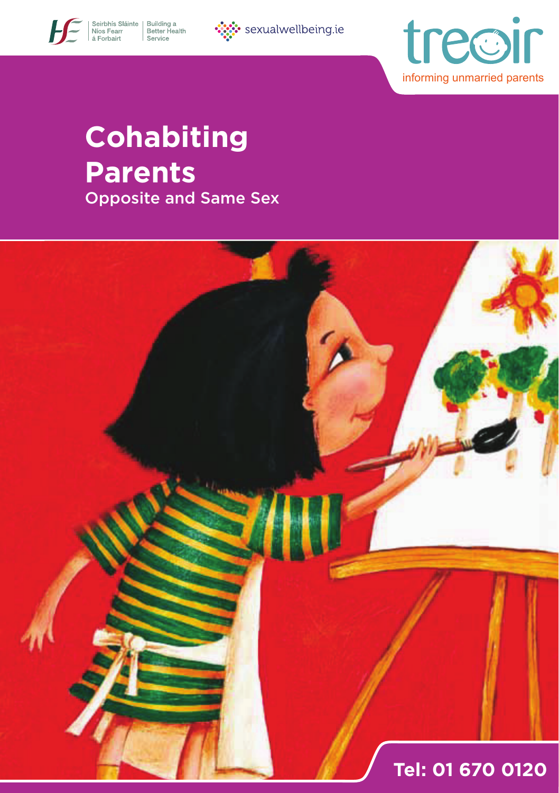





# Cohabiting Parents **Cohabiting Parents**  Opposite and Same Sex

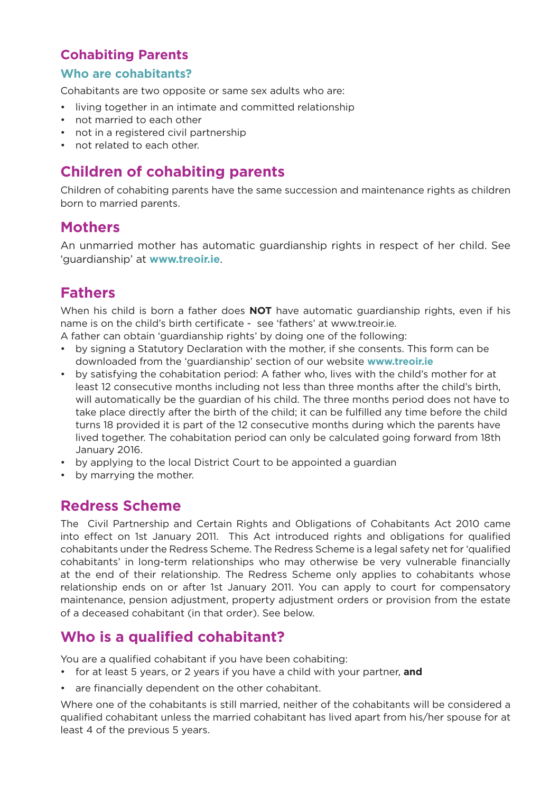#### **Cohabiting Parents**

#### **Who are cohabitants?**

Cohabitants are two opposite or same sex adults who are:

- living together in an intimate and committed relationship
- not married to each other
- not in a registered civil partnership
- not related to each other.

## **Children of cohabiting parents**

Children of cohabiting parents have the same succession and maintenance rights as children born to married parents.

#### **Mothers**

An unmarried mother has automatic guardianship rights in respect of her child. See 'guardianship' at **www.treoir.ie**.

## **Fathers**

When his child is born a father does **NOT** have automatic guardianship rights, even if his name is on the child's birth certificate - see 'fathers' at www.treoir.ie.

A father can obtain 'guardianship rights' by doing one of the following:

- by signing a Statutory Declaration with the mother, if she consents. This form can be downloaded from the 'guardianship' section of our website **www.treoir.ie**
- by satisfying the cohabitation period: A father who, lives with the child's mother for at least 12 consecutive months including not less than three months after the child's birth, will automatically be the guardian of his child. The three months period does not have to take place directly after the birth of the child; it can be fulfilled any time before the child turns 18 provided it is part of the 12 consecutive months during which the parents have lived together. The cohabitation period can only be calculated going forward from 18th January 2016.
- by applying to the local District Court to be appointed a guardian
- by marrying the mother.

#### **Redress Scheme**

The Civil Partnership and Certain Rights and Obligations of Cohabitants Act 2010 came into effect on 1st January 2011. This Act introduced rights and obligations for qualified cohabitants under the Redress Scheme. The Redress Scheme is a legal safety net for 'qualified cohabitants' in long-term relationships who may otherwise be very vulnerable financially at the end of their relationship. The Redress Scheme only applies to cohabitants whose relationship ends on or after 1st January 2011. You can apply to court for compensatory maintenance, pension adjustment, property adjustment orders or provision from the estate of a deceased cohabitant (in that order). See below.

## **Who is a qualified cohabitant?**

You are a qualified cohabitant if you have been cohabiting:

- for at least 5 years, or 2 years if you have a child with your partner, **and**
- are financially dependent on the other cohabitant.

Where one of the cohabitants is still married, neither of the cohabitants will be considered a qualified cohabitant unless the married cohabitant has lived apart from his/her spouse for at least 4 of the previous 5 years.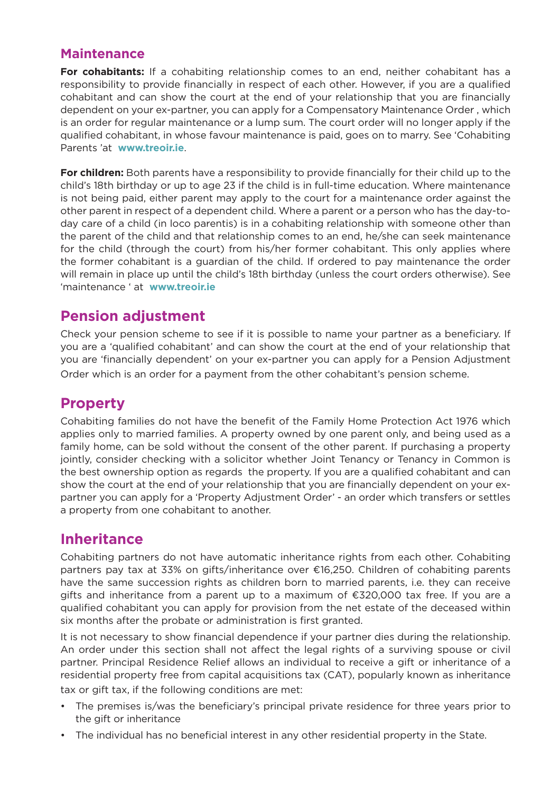#### **Maintenance**

**For cohabitants:** If a cohabiting relationship comes to an end, neither cohabitant has a responsibility to provide financially in respect of each other. However, if you are a qualified cohabitant and can show the court at the end of your relationship that you are financially dependent on your ex-partner, you can apply for a Compensatory Maintenance Order , which is an order for regular maintenance or a lump sum. The court order will no longer apply if the qualified cohabitant, in whose favour maintenance is paid, goes on to marry. See 'Cohabiting Parents 'at **www.treoir.ie**.

**For children:** Both parents have a responsibility to provide financially for their child up to the child's 18th birthday or up to age 23 if the child is in full-time education. Where maintenance is not being paid, either parent may apply to the court for a maintenance order against the other parent in respect of a dependent child. Where a parent or a person who has the day-today care of a child (in loco parentis) is in a cohabiting relationship with someone other than the parent of the child and that relationship comes to an end, he/she can seek maintenance for the child (through the court) from his/her former cohabitant. This only applies where the former cohabitant is a guardian of the child. If ordered to pay maintenance the order will remain in place up until the child's 18th birthday (unless the court orders otherwise). See 'maintenance ' at **www.treoir.ie**

#### **Pension adjustment**

Check your pension scheme to see if it is possible to name your partner as a beneficiary. If you are a 'qualified cohabitant' and can show the court at the end of your relationship that you are 'financially dependent' on your ex-partner you can apply for a Pension Adjustment Order which is an order for a payment from the other cohabitant's pension scheme.

#### **Property**

Cohabiting families do not have the benefit of the Family Home Protection Act 1976 which applies only to married families. A property owned by one parent only, and being used as a family home, can be sold without the consent of the other parent. If purchasing a property jointly, consider checking with a solicitor whether Joint Tenancy or Tenancy in Common is the best ownership option as regards the property. If you are a qualified cohabitant and can show the court at the end of your relationship that you are financially dependent on your expartner you can apply for a 'Property Adjustment Order' - an order which transfers or settles a property from one cohabitant to another.

#### **Inheritance**

Cohabiting partners do not have automatic inheritance rights from each other. Cohabiting partners pay tax at 33% on gifts/inheritance over €16,250. Children of cohabiting parents have the same succession rights as children born to married parents, i.e. they can receive gifts and inheritance from a parent up to a maximum of €320,000 tax free. If you are a qualified cohabitant you can apply for provision from the net estate of the deceased within six months after the probate or administration is first granted.

It is not necessary to show financial dependence if your partner dies during the relationship. An order under this section shall not affect the legal rights of a surviving spouse or civil partner. Principal Residence Relief allows an individual to receive a gift or inheritance of a residential property free from capital acquisitions tax (CAT), popularly known as inheritance tax or gift tax, if the following conditions are met:

- The premises is/was the beneficiary's principal private residence for three years prior to the gift or inheritance
- The individual has no beneficial interest in any other residential property in the State.